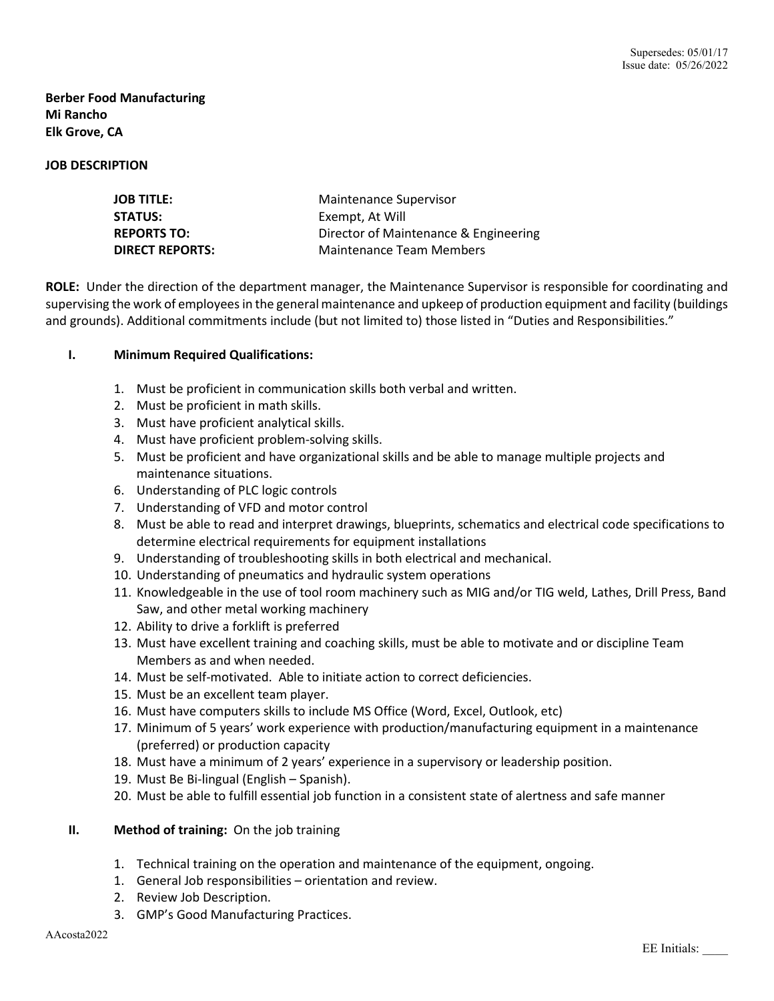# **Berber Food Manufacturing Mi Rancho Elk Grove, CA**

### **JOB DESCRIPTION**

| JOB TITLE:             | Maintenance Supervisor                |
|------------------------|---------------------------------------|
| <b>STATUS:</b>         | Exempt, At Will                       |
| <b>REPORTS TO:</b>     | Director of Maintenance & Engineering |
| <b>DIRECT REPORTS:</b> | Maintenance Team Members              |

**ROLE:** Under the direction of the department manager, the Maintenance Supervisor is responsible for coordinating and supervising the work of employees in the general maintenance and upkeep of production equipment and facility (buildings and grounds). Additional commitments include (but not limited to) those listed in "Duties and Responsibilities."

### **I. Minimum Required Qualifications:**

- 1. Must be proficient in communication skills both verbal and written.
- 2. Must be proficient in math skills.
- 3. Must have proficient analytical skills.
- 4. Must have proficient problem-solving skills.
- 5. Must be proficient and have organizational skills and be able to manage multiple projects and maintenance situations.
- 6. Understanding of PLC logic controls
- 7. Understanding of VFD and motor control
- 8. Must be able to read and interpret drawings, blueprints, schematics and electrical code specifications to determine electrical requirements for equipment installations
- 9. Understanding of troubleshooting skills in both electrical and mechanical.
- 10. Understanding of pneumatics and hydraulic system operations
- 11. Knowledgeable in the use of tool room machinery such as MIG and/or TIG weld, Lathes, Drill Press, Band Saw, and other metal working machinery
- 12. Ability to drive a forklift is preferred
- 13. Must have excellent training and coaching skills, must be able to motivate and or discipline Team Members as and when needed.
- 14. Must be self-motivated. Able to initiate action to correct deficiencies.
- 15. Must be an excellent team player.
- 16. Must have computers skills to include MS Office (Word, Excel, Outlook, etc)
- 17. Minimum of 5 years' work experience with production/manufacturing equipment in a maintenance (preferred) or production capacity
- 18. Must have a minimum of 2 years' experience in a supervisory or leadership position.
- 19. Must Be Bi-lingual (English Spanish).
- 20. Must be able to fulfill essential job function in a consistent state of alertness and safe manner
- **II. Method of training:** On the job training
	- 1. Technical training on the operation and maintenance of the equipment, ongoing.
	- 1. General Job responsibilities orientation and review.
	- 2. Review Job Description.
	- 3. GMP's Good Manufacturing Practices.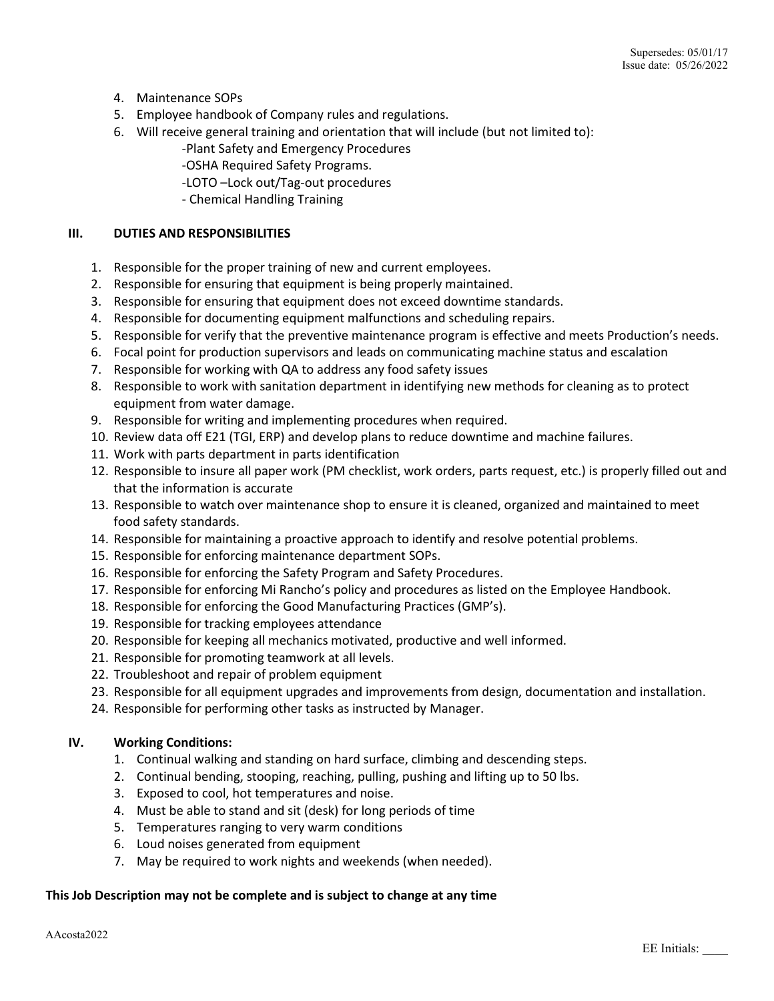- 4. Maintenance SOPs
- 5. Employee handbook of Company rules and regulations.
- 6. Will receive general training and orientation that will include (but not limited to):
	- -Plant Safety and Emergency Procedures
	- -OSHA Required Safety Programs.
	- -LOTO –Lock out/Tag-out procedures
	- Chemical Handling Training

## **III. DUTIES AND RESPONSIBILITIES**

- 1. Responsible for the proper training of new and current employees.
- 2. Responsible for ensuring that equipment is being properly maintained.
- 3. Responsible for ensuring that equipment does not exceed downtime standards.
- 4. Responsible for documenting equipment malfunctions and scheduling repairs.
- 5. Responsible for verify that the preventive maintenance program is effective and meets Production's needs.
- 6. Focal point for production supervisors and leads on communicating machine status and escalation
- 7. Responsible for working with QA to address any food safety issues
- 8. Responsible to work with sanitation department in identifying new methods for cleaning as to protect equipment from water damage.
- 9. Responsible for writing and implementing procedures when required.
- 10. Review data off E21 (TGI, ERP) and develop plans to reduce downtime and machine failures.
- 11. Work with parts department in parts identification
- 12. Responsible to insure all paper work (PM checklist, work orders, parts request, etc.) is properly filled out and that the information is accurate
- 13. Responsible to watch over maintenance shop to ensure it is cleaned, organized and maintained to meet food safety standards.
- 14. Responsible for maintaining a proactive approach to identify and resolve potential problems.
- 15. Responsible for enforcing maintenance department SOPs.
- 16. Responsible for enforcing the Safety Program and Safety Procedures.
- 17. Responsible for enforcing Mi Rancho's policy and procedures as listed on the Employee Handbook.
- 18. Responsible for enforcing the Good Manufacturing Practices (GMP's).
- 19. Responsible for tracking employees attendance
- 20. Responsible for keeping all mechanics motivated, productive and well informed.
- 21. Responsible for promoting teamwork at all levels.
- 22. Troubleshoot and repair of problem equipment
- 23. Responsible for all equipment upgrades and improvements from design, documentation and installation.
- 24. Responsible for performing other tasks as instructed by Manager.

# **IV. Working Conditions:**

- 1. Continual walking and standing on hard surface, climbing and descending steps.
- 2. Continual bending, stooping, reaching, pulling, pushing and lifting up to 50 lbs.
- 3. Exposed to cool, hot temperatures and noise.
- 4. Must be able to stand and sit (desk) for long periods of time
- 5. Temperatures ranging to very warm conditions
- 6. Loud noises generated from equipment
- 7. May be required to work nights and weekends (when needed).

# **This Job Description may not be complete and is subject to change at any time**